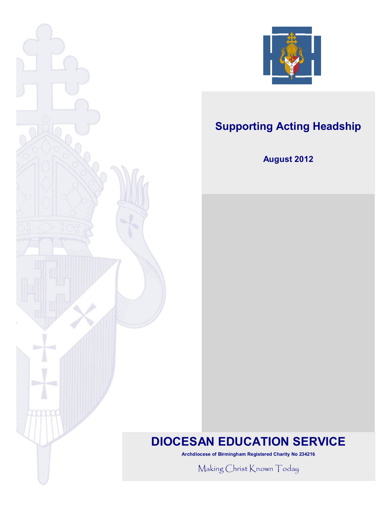



# **Supporting Acting Headship**

# **August 2012**

# **DIOCESAN EDUCATION SERVICE**

**Archdiocese of Birmingham Registered Charity No 234216**

Making Christ Known Today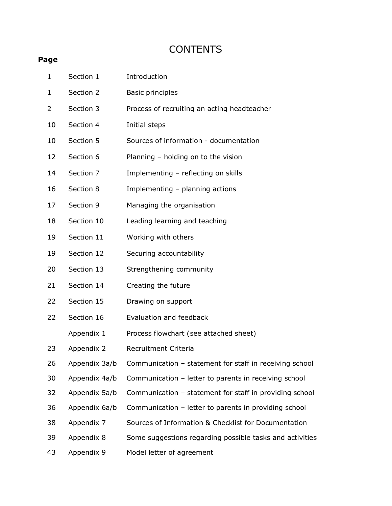# **CONTENTS**

# **Page**

| $\mathbf 1$ |    | Section 1     | Introduction                                             |
|-------------|----|---------------|----------------------------------------------------------|
| $\mathbf 1$ |    | Section 2     | <b>Basic principles</b>                                  |
| 2           |    | Section 3     | Process of recruiting an acting headteacher              |
|             | 10 | Section 4     | Initial steps                                            |
|             | 10 | Section 5     | Sources of information - documentation                   |
|             | 12 | Section 6     | Planning - holding on to the vision                      |
|             | 14 | Section 7     | Implementing - reflecting on skills                      |
|             | 16 | Section 8     | Implementing - planning actions                          |
|             | 17 | Section 9     | Managing the organisation                                |
|             | 18 | Section 10    | Leading learning and teaching                            |
|             | 19 | Section 11    | Working with others                                      |
|             | 19 | Section 12    | Securing accountability                                  |
|             | 20 | Section 13    | Strengthening community                                  |
|             | 21 | Section 14    | Creating the future                                      |
|             | 22 | Section 15    | Drawing on support                                       |
|             | 22 | Section 16    | Evaluation and feedback                                  |
|             |    | Appendix 1    | Process flowchart (see attached sheet)                   |
|             | 23 | Appendix 2    | Recruitment Criteria                                     |
|             | 26 | Appendix 3a/b | Communication - statement for staff in receiving school  |
|             | 30 | Appendix 4a/b | Communication - letter to parents in receiving school    |
|             | 32 | Appendix 5a/b | Communication - statement for staff in providing school  |
|             | 36 | Appendix 6a/b | Communication - letter to parents in providing school    |
|             | 38 | Appendix 7    | Sources of Information & Checklist for Documentation     |
|             | 39 | Appendix 8    | Some suggestions regarding possible tasks and activities |
|             | 43 | Appendix 9    | Model letter of agreement                                |
|             |    |               |                                                          |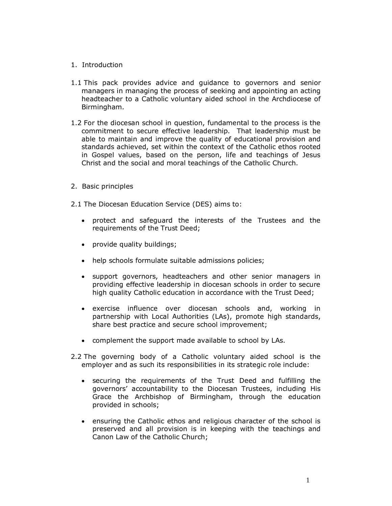### 1. Introduction

- 1.1 This pack provides advice and guidance to governors and senior managers in managing the process of seeking and appointing an acting headteacher to a Catholic voluntary aided school in the Archdiocese of Birmingham.
- 1.2 For the diocesan school in question, fundamental to the process is the commitment to secure effective leadership. That leadership must be able to maintain and improve the quality of educational provision and standards achieved, set within the context of the Catholic ethos rooted in Gospel values, based on the person, life and teachings of Jesus Christ and the social and moral teachings of the Catholic Church.
- 2. Basic principles
- 2.1 The Diocesan Education Service (DES) aims to:
	- · protect and safeguard the interests of the Trustees and the requirements of the Trust Deed;
	- · provide quality buildings;
	- · help schools formulate suitable admissions policies;
	- · support governors, headteachers and other senior managers in providing effective leadership in diocesan schools in order to secure high quality Catholic education in accordance with the Trust Deed;
	- · exercise influence over diocesan schools and, working in partnership with Local Authorities (LAs), promote high standards, share best practice and secure school improvement;
	- · complement the support made available to school by LAs.
- 2.2 The governing body of a Catholic voluntary aided school is the employer and as such its responsibilities in its strategic role include:
	- · securing the requirements of the Trust Deed and fulfilling the governors' accountability to the Diocesan Trustees, including His Grace the Archbishop of Birmingham, through the education provided in schools;
	- · ensuring the Catholic ethos and religious character of the school is preserved and all provision is in keeping with the teachings and Canon Law of the Catholic Church;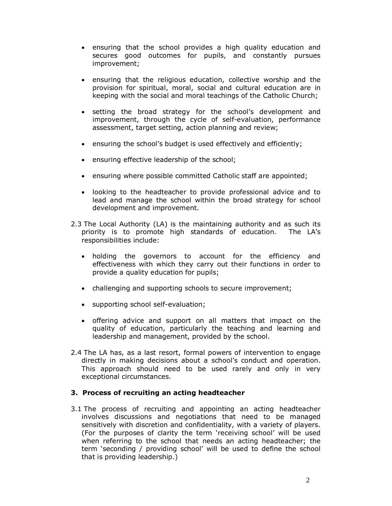- · ensuring that the school provides a high quality education and secures good outcomes for pupils, and constantly pursues improvement;
- · ensuring that the religious education, collective worship and the provision for spiritual, moral, social and cultural education are in keeping with the social and moral teachings of the Catholic Church;
- · setting the broad strategy for the school's development and improvement, through the cycle of self-evaluation, performance assessment, target setting, action planning and review;
- · ensuring the school's budget is used effectively and efficiently;
- · ensuring effective leadership of the school;
- · ensuring where possible committed Catholic staff are appointed;
- · looking to the headteacher to provide professional advice and to lead and manage the school within the broad strategy for school development and improvement.
- 2.3 The Local Authority (LA) is the maintaining authority and as such its priority is to promote high standards of education. The LA's responsibilities include:
	- · holding the governors to account for the efficiency and effectiveness with which they carry out their functions in order to provide a quality education for pupils;
	- · challenging and supporting schools to secure improvement;
	- · supporting school self-evaluation;
	- · offering advice and support on all matters that impact on the quality of education, particularly the teaching and learning and leadership and management, provided by the school.
- 2.4 The LA has, as a last resort, formal powers of intervention to engage directly in making decisions about a school's conduct and operation. This approach should need to be used rarely and only in very exceptional circumstances.

#### **3. Process of recruiting an acting headteacher**

3.1 The process of recruiting and appointing an acting headteacher involves discussions and negotiations that need to be managed sensitively with discretion and confidentiality, with a variety of players. (For the purposes of clarity the term 'receiving school' will be used when referring to the school that needs an acting headteacher; the term 'seconding / providing school' will be used to define the school that is providing leadership.)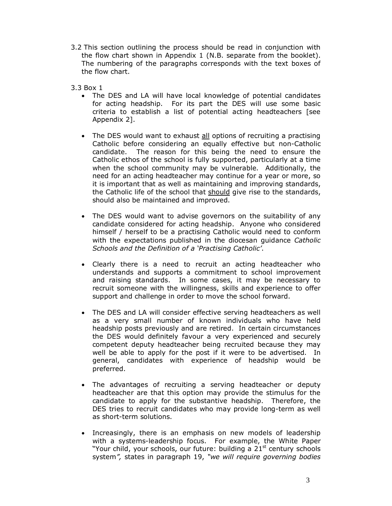- 3.2 This section outlining the process should be read in conjunction with the flow chart shown in Appendix 1 (N.B. separate from the booklet). The numbering of the paragraphs corresponds with the text boxes of the flow chart.
- 3.3 Box 1
	- · The DES and LA will have local knowledge of potential candidates for acting headship. For its part the DES will use some basic criteria to establish a list of potential acting headteachers [see Appendix 2].
	- The DES would want to exhaust all options of recruiting a practising Catholic before considering an equally effective but non-Catholic candidate. The reason for this being the need to ensure the Catholic ethos of the school is fully supported, particularly at a time when the school community may be vulnerable. Additionally, the need for an acting headteacher may continue for a year or more, so it is important that as well as maintaining and improving standards, the Catholic life of the school that should give rise to the standards, should also be maintained and improved.
	- · The DES would want to advise governors on the suitability of any candidate considered for acting headship. Anyone who considered himself / herself to be a practising Catholic would need to conform with the expectations published in the diocesan guidance *Catholic Schools and the Definition of a 'Practising Catholic'*.
	- · Clearly there is a need to recruit an acting headteacher who understands and supports a commitment to school improvement and raising standards. In some cases, it may be necessary to recruit someone with the willingness, skills and experience to offer support and challenge in order to move the school forward.
	- · The DES and LA will consider effective serving headteachers as well as a very small number of known individuals who have held headship posts previously and are retired. In certain circumstances the DES would definitely favour a very experienced and securely competent deputy headteacher being recruited because they may well be able to apply for the post if it were to be advertised. In general, candidates with experience of headship would be preferred.
	- · The advantages of recruiting a serving headteacher or deputy headteacher are that this option may provide the stimulus for the candidate to apply for the substantive headship. Therefore, the DES tries to recruit candidates who may provide long-term as well as short-term solutions.
	- · Increasingly, there is an emphasis on new models of leadership with a systems-leadership focus. For example, the White Paper "Your child, your schools, our future: building a 21<sup>st</sup> century schools system*",* states in paragraph 19, *"we will require governing bodies*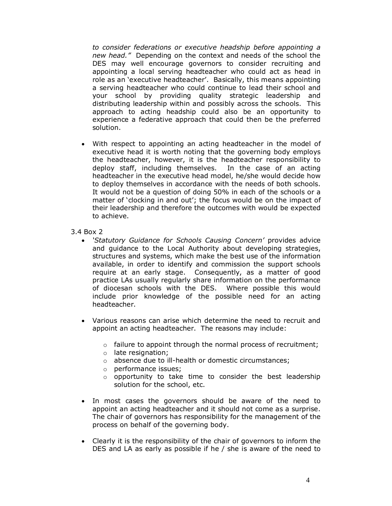*to consider federations or executive headship before appointing a new head."* Depending on the context and needs of the school the DES may well encourage governors to consider recruiting and appointing a local serving headteacher who could act as head in role as an 'executive headteacher'. Basically, this means appointing a serving headteacher who could continue to lead their school and your school by providing quality strategic leadership and distributing leadership within and possibly across the schools. This approach to acting headship could also be an opportunity to experience a federative approach that could then be the preferred solution.

- With respect to appointing an acting headteacher in the model of executive head it is worth noting that the governing body employs the headteacher, however, it is the headteacher responsibility to deploy staff, including themselves. In the case of an acting headteacher in the executive head model, he/she would decide how to deploy themselves in accordance with the needs of both schools. It would not be a question of doing 50% in each of the schools or a matter of 'clocking in and out'; the focus would be on the impact of their leadership and therefore the outcomes with would be expected to achieve.
- 3.4 Box 2
	- · *'Statutory Guidance for Schools Causing Concern'* provides advice and guidance to the Local Authority about developing strategies, structures and systems, which make the best use of the information available, in order to identify and commission the support schools require at an early stage. Consequently, as a matter of good practice LAs usually regularly share information on the performance of diocesan schools with the DES. Where possible this would include prior knowledge of the possible need for an acting headteacher.
	- · Various reasons can arise which determine the need to recruit and appoint an acting headteacher. The reasons may include:
		- o failure to appoint through the normal process of recruitment;
		- o late resignation;
		- o absence due to ill-health or domestic circumstances;
		- o performance issues;
		- o opportunity to take time to consider the best leadership solution for the school, etc.
	- · In most cases the governors should be aware of the need to appoint an acting headteacher and it should not come as a surprise. The chair of governors has responsibility for the management of the process on behalf of the governing body.
	- · Clearly it is the responsibility of the chair of governors to inform the DES and LA as early as possible if he / she is aware of the need to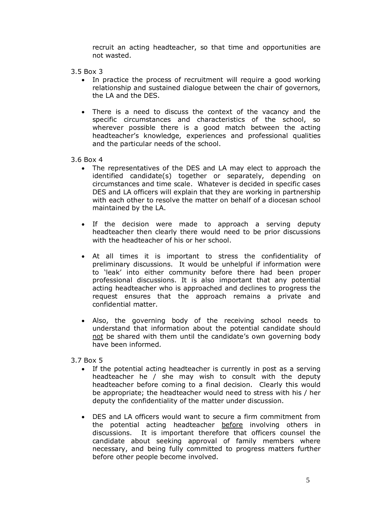recruit an acting headteacher, so that time and opportunities are not wasted.

- 3.5 Box 3
	- · In practice the process of recruitment will require a good working relationship and sustained dialogue between the chair of governors, the LA and the DES.
	- · There is a need to discuss the context of the vacancy and the specific circumstances and characteristics of the school, so wherever possible there is a good match between the acting headteacher's knowledge, experiences and professional qualities and the particular needs of the school.
- 3.6 Box 4
	- · The representatives of the DES and LA may elect to approach the identified candidate(s) together or separately, depending on circumstances and time scale. Whatever is decided in specific cases DES and LA officers will explain that they are working in partnership with each other to resolve the matter on behalf of a diocesan school maintained by the LA.
	- · If the decision were made to approach a serving deputy headteacher then clearly there would need to be prior discussions with the headteacher of his or her school.
	- · At all times it is important to stress the confidentiality of preliminary discussions. It would be unhelpful if information were to 'leak' into either community before there had been proper professional discussions. It is also important that any potential acting headteacher who is approached and declines to progress the request ensures that the approach remains a private and confidential matter.
	- · Also, the governing body of the receiving school needs to understand that information about the potential candidate should not be shared with them until the candidate's own governing body have been informed.
- 3.7 Box 5
	- · If the potential acting headteacher is currently in post as a serving headteacher he / she may wish to consult with the deputy headteacher before coming to a final decision. Clearly this would be appropriate; the headteacher would need to stress with his / her deputy the confidentiality of the matter under discussion.
	- · DES and LA officers would want to secure a firm commitment from the potential acting headteacher before involving others in discussions. It is important therefore that officers counsel the candidate about seeking approval of family members where necessary, and being fully committed to progress matters further before other people become involved.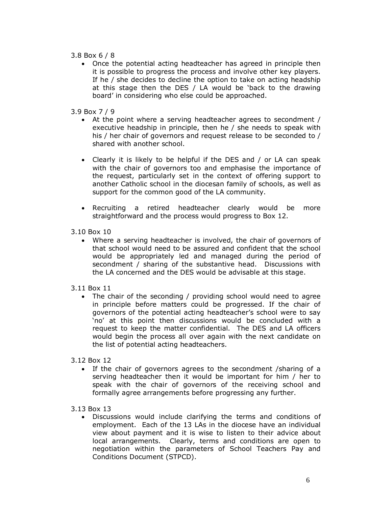### 3.8 Box 6 / 8

- · Once the potential acting headteacher has agreed in principle then it is possible to progress the process and involve other key players. If he / she decides to decline the option to take on acting headship at this stage then the DES / LA would be 'back to the drawing board' in considering who else could be approached.
- 3.9 Box 7 / 9
	- · At the point where a serving headteacher agrees to secondment / executive headship in principle, then he / she needs to speak with his / her chair of governors and request release to be seconded to / shared with another school.
	- · Clearly it is likely to be helpful if the DES and / or LA can speak with the chair of governors too and emphasise the importance of the request, particularly set in the context of offering support to another Catholic school in the diocesan family of schools, as well as support for the common good of the LA community.
	- · Recruiting a retired headteacher clearly would be more straightforward and the process would progress to Box 12.
- 3.10 Box 10
	- · Where a serving headteacher is involved, the chair of governors of that school would need to be assured and confident that the school would be appropriately led and managed during the period of secondment / sharing of the substantive head. Discussions with the LA concerned and the DES would be advisable at this stage.
- 3.11 Box 11
	- · The chair of the seconding / providing school would need to agree in principle before matters could be progressed. If the chair of governors of the potential acting headteacher's school were to say 'no' at this point then discussions would be concluded with a request to keep the matter confidential. The DES and LA officers would begin the process all over again with the next candidate on the list of potential acting headteachers.
- 3.12 Box 12
	- · If the chair of governors agrees to the secondment /sharing of a serving headteacher then it would be important for him / her to speak with the chair of governors of the receiving school and formally agree arrangements before progressing any further.
- 3.13 Box 13
	- · Discussions would include clarifying the terms and conditions of employment. Each of the 13 LAs in the diocese have an individual view about payment and it is wise to listen to their advice about local arrangements. Clearly, terms and conditions are open to negotiation within the parameters of School Teachers Pay and Conditions Document (STPCD).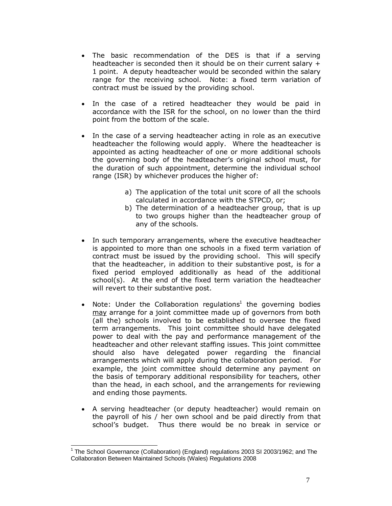- The basic recommendation of the DES is that if a serving headteacher is seconded then it should be on their current salary + 1 point. A deputy headteacher would be seconded within the salary range for the receiving school. Note: a fixed term variation of contract must be issued by the providing school.
- · In the case of a retired headteacher they would be paid in accordance with the ISR for the school, on no lower than the third point from the bottom of the scale.
- · In the case of a serving headteacher acting in role as an executive headteacher the following would apply. Where the headteacher is appointed as acting headteacher of one or more additional schools the governing body of the headteacher's original school must, for the duration of such appointment, determine the individual school range (ISR) by whichever produces the higher of:
	- a) The application of the total unit score of all the schools calculated in accordance with the STPCD, or;
	- b) The determination of a headteacher group, that is up to two groups higher than the headteacher group of any of the schools.
- · In such temporary arrangements, where the executive headteacher is appointed to more than one schools in a fixed term variation of contract must be issued by the providing school. This will specify that the headteacher, in addition to their substantive post, is for a fixed period employed additionally as head of the additional school(s). At the end of the fixed term variation the headteacher will revert to their substantive post.
- Note: Under the Collaboration regulations<sup>1</sup> the governing bodies may arrange for a joint committee made up of governors from both (all the) schools involved to be established to oversee the fixed term arrangements. This joint committee should have delegated power to deal with the pay and performance management of the headteacher and other relevant staffing issues. This joint committee should also have delegated power regarding the financial arrangements which will apply during the collaboration period. For example, the joint committee should determine any payment on the basis of temporary additional responsibility for teachers, other than the head, in each school, and the arrangements for reviewing and ending those payments.
- · A serving headteacher (or deputy headteacher) would remain on the payroll of his / her own school and be paid directly from that school's budget. Thus there would be no break in service or

<sup>1</sup> The School Governance (Collaboration) (England) regulations 2003 SI 2003/1962; and The Collaboration Between Maintained Schools (Wales) Regulations 2008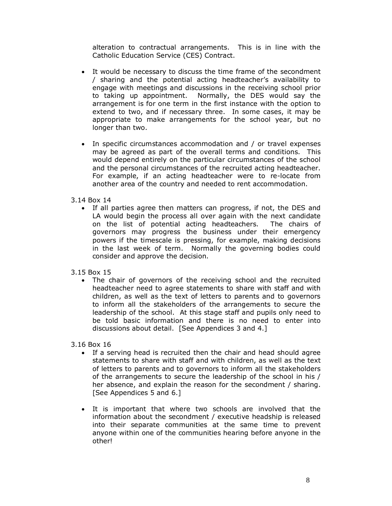alteration to contractual arrangements. This is in line with the Catholic Education Service (CES) Contract.

- · It would be necessary to discuss the time frame of the secondment / sharing and the potential acting headteacher's availability to engage with meetings and discussions in the receiving school prior to taking up appointment. Normally, the DES would say the arrangement is for one term in the first instance with the option to extend to two, and if necessary three. In some cases, it may be appropriate to make arrangements for the school year, but no longer than two.
- · In specific circumstances accommodation and / or travel expenses may be agreed as part of the overall terms and conditions. This would depend entirely on the particular circumstances of the school and the personal circumstances of the recruited acting headteacher. For example, if an acting headteacher were to re-locate from another area of the country and needed to rent accommodation.
- 3.14 Box 14
	- · If all parties agree then matters can progress, if not, the DES and LA would begin the process all over again with the next candidate on the list of potential acting headteachers. The chairs of governors may progress the business under their emergency powers if the timescale is pressing, for example, making decisions in the last week of term. Normally the governing bodies could consider and approve the decision.
- 3.15 Box 15
	- · The chair of governors of the receiving school and the recruited headteacher need to agree statements to share with staff and with children, as well as the text of letters to parents and to governors to inform all the stakeholders of the arrangements to secure the leadership of the school. At this stage staff and pupils only need to be told basic information and there is no need to enter into discussions about detail. [See Appendices 3 and 4.]

3.16 Box 16

- · If a serving head is recruited then the chair and head should agree statements to share with staff and with children, as well as the text of letters to parents and to governors to inform all the stakeholders of the arrangements to secure the leadership of the school in his / her absence, and explain the reason for the secondment / sharing. [See Appendices 5 and 6.]
- · It is important that where two schools are involved that the information about the secondment / executive headship is released into their separate communities at the same time to prevent anyone within one of the communities hearing before anyone in the other!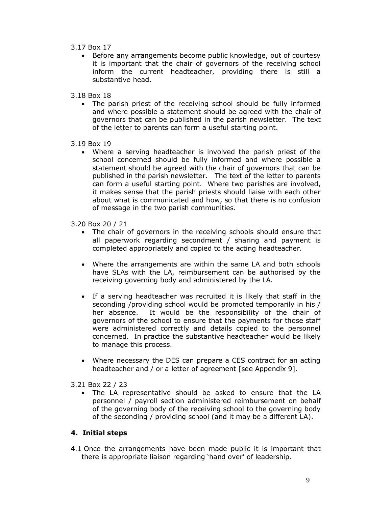- 3.17 Box 17
	- · Before any arrangements become public knowledge, out of courtesy it is important that the chair of governors of the receiving school inform the current headteacher, providing there is still a substantive head.
- 3.18 Box 18
	- · The parish priest of the receiving school should be fully informed and where possible a statement should be agreed with the chair of governors that can be published in the parish newsletter. The text of the letter to parents can form a useful starting point.
- 3.19 Box 19
	- · Where a serving headteacher is involved the parish priest of the school concerned should be fully informed and where possible a statement should be agreed with the chair of governors that can be published in the parish newsletter. The text of the letter to parents can form a useful starting point. Where two parishes are involved, it makes sense that the parish priests should liaise with each other about what is communicated and how, so that there is no confusion of message in the two parish communities.
- 3.20 Box 20 / 21
	- · The chair of governors in the receiving schools should ensure that all paperwork regarding secondment / sharing and payment is completed appropriately and copied to the acting headteacher.
	- · Where the arrangements are within the same LA and both schools have SLAs with the LA, reimbursement can be authorised by the receiving governing body and administered by the LA.
	- · If a serving headteacher was recruited it is likely that staff in the seconding /providing school would be promoted temporarily in his / her absence. It would be the responsibility of the chair of governors of the school to ensure that the payments for those staff were administered correctly and details copied to the personnel concerned. In practice the substantive headteacher would be likely to manage this process.
	- · Where necessary the DES can prepare a CES contract for an acting headteacher and / or a letter of agreement [see Appendix 9].
- 3.21 Box 22 / 23
	- · The LA representative should be asked to ensure that the LA personnel / payroll section administered reimbursement on behalf of the governing body of the receiving school to the governing body of the seconding / providing school (and it may be a different LA).

# **4. Initial steps**

4.1 Once the arrangements have been made public it is important that there is appropriate liaison regarding 'hand over' of leadership.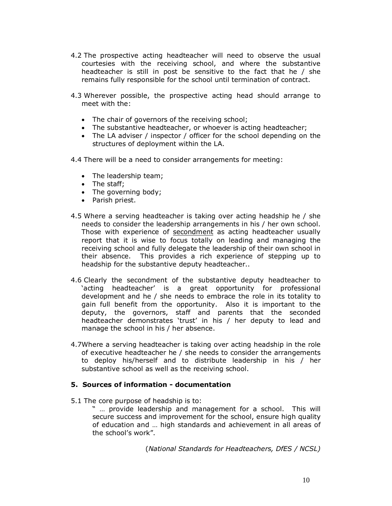- 4.2 The prospective acting headteacher will need to observe the usual courtesies with the receiving school, and where the substantive headteacher is still in post be sensitive to the fact that he / she remains fully responsible for the school until termination of contract.
- 4.3 Wherever possible, the prospective acting head should arrange to meet with the:
	- · The chair of governors of the receiving school;
	- · The substantive headteacher, or whoever is acting headteacher;
	- · The LA adviser / inspector / officer for the school depending on the structures of deployment within the LA.
- 4.4 There will be a need to consider arrangements for meeting:
	- · The leadership team;
	- The staff:
	- · The governing body;
	- · Parish priest.
- 4.5 Where a serving headteacher is taking over acting headship he / she needs to consider the leadership arrangements in his / her own school. Those with experience of secondment as acting headteacher usually report that it is wise to focus totally on leading and managing the receiving school and fully delegate the leadership of their own school in their absence. This provides a rich experience of stepping up to headship for the substantive deputy headteacher..
- 4.6 Clearly the secondment of the substantive deputy headteacher to 'acting headteacher' is a great opportunity for professional development and he / she needs to embrace the role in its totality to gain full benefit from the opportunity. Also it is important to the deputy, the governors, staff and parents that the seconded headteacher demonstrates 'trust' in his / her deputy to lead and manage the school in his / her absence.
- 4.7Where a serving headteacher is taking over acting headship in the role of executive headteacher he / she needs to consider the arrangements to deploy his/herself and to distribute leadership in his / her substantive school as well as the receiving school.

#### **5. Sources of information - documentation**

- 5.1 The core purpose of headship is to:
	- " … provide leadership and management for a school. This will secure success and improvement for the school, ensure high quality of education and … high standards and achievement in all areas of the school's work".

(*National Standards for Headteachers, DfES / NCSL)*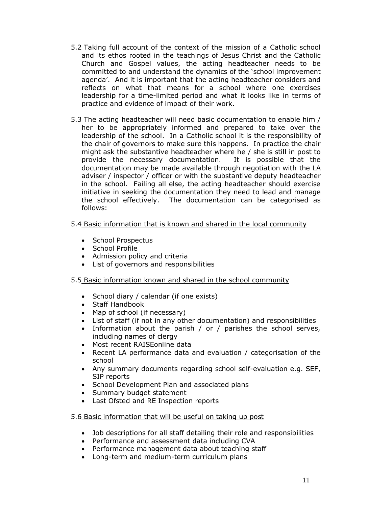- 5.2 Taking full account of the context of the mission of a Catholic school and its ethos rooted in the teachings of Jesus Christ and the Catholic Church and Gospel values, the acting headteacher needs to be committed to and understand the dynamics of the 'school improvement agenda'. And it is important that the acting headteacher considers and reflects on what that means for a school where one exercises leadership for a time-limited period and what it looks like in terms of practice and evidence of impact of their work.
- 5.3 The acting headteacher will need basic documentation to enable him / her to be appropriately informed and prepared to take over the leadership of the school. In a Catholic school it is the responsibility of the chair of governors to make sure this happens. In practice the chair might ask the substantive headteacher where he / she is still in post to provide the necessary documentation. It is possible that the documentation may be made available through negotiation with the LA adviser / inspector / officer or with the substantive deputy headteacher in the school. Failing all else, the acting headteacher should exercise initiative in seeking the documentation they need to lead and manage the school effectively. The documentation can be categorised as follows:

# 5.4 Basic information that is known and shared in the local community

- · School Prospectus
- · School Profile
- · Admission policy and criteria
- · List of governors and responsibilities

# 5.5 Basic information known and shared in the school community

- · School diary / calendar (if one exists)
- · Staff Handbook
- · Map of school (if necessary)
- · List of staff (if not in any other documentation) and responsibilities
- · Information about the parish / or / parishes the school serves, including names of clergy
- · Most recent RAISEonline data
- · Recent LA performance data and evaluation / categorisation of the school
- · Any summary documents regarding school self-evaluation e.g. SEF, SIP reports
- · School Development Plan and associated plans
- · Summary budget statement
- · Last Ofsted and RE Inspection reports

# 5.6 Basic information that will be useful on taking up post

- · Job descriptions for all staff detailing their role and responsibilities
- · Performance and assessment data including CVA
- · Performance management data about teaching staff
- · Long-term and medium-term curriculum plans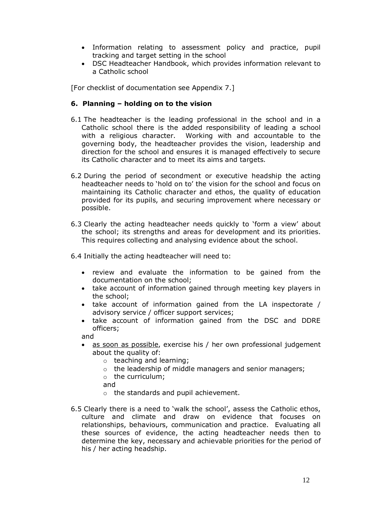- · Information relating to assessment policy and practice, pupil tracking and target setting in the school
- · DSC Headteacher Handbook, which provides information relevant to a Catholic school

[For checklist of documentation see Appendix 7.]

# **6. Planning – holding on to the vision**

- 6.1 The headteacher is the leading professional in the school and in a Catholic school there is the added responsibility of leading a school with a religious character. Working with and accountable to the governing body, the headteacher provides the vision, leadership and direction for the school and ensures it is managed effectively to secure its Catholic character and to meet its aims and targets.
- 6.2 During the period of secondment or executive headship the acting headteacher needs to 'hold on to' the vision for the school and focus on maintaining its Catholic character and ethos, the quality of education provided for its pupils, and securing improvement where necessary or possible.
- 6.3 Clearly the acting headteacher needs quickly to 'form a view' about the school; its strengths and areas for development and its priorities. This requires collecting and analysing evidence about the school.

6.4 Initially the acting headteacher will need to:

- · review and evaluate the information to be gained from the documentation on the school;
- · take account of information gained through meeting key players in the school;
- · take account of information gained from the LA inspectorate / advisory service / officer support services;
- · take account of information gained from the DSC and DDRE officers;

and

- as soon as possible, exercise his / her own professional judgement about the quality of:
	- o teaching and learning;
	- o the leadership of middle managers and senior managers;
	- o the curriculum;
	- and
	- o the standards and pupil achievement.
- 6.5 Clearly there is a need to 'walk the school', assess the Catholic ethos, culture and climate and draw on evidence that focuses on relationships, behaviours, communication and practice. Evaluating all these sources of evidence, the acting headteacher needs then to determine the key, necessary and achievable priorities for the period of his / her acting headship.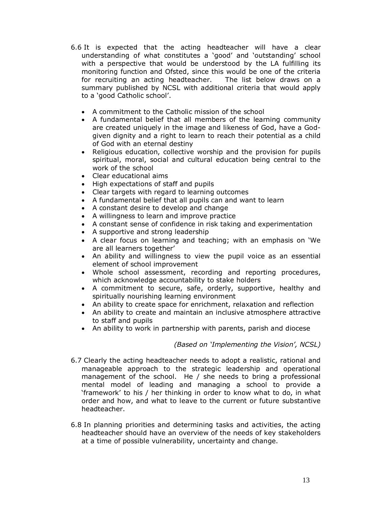- 6.6 It is expected that the acting headteacher will have a clear understanding of what constitutes a 'good' and 'outstanding' school with a perspective that would be understood by the LA fulfilling its monitoring function and Ofsted, since this would be one of the criteria for recruiting an acting headteacher. The list below draws on a summary published by NCSL with additional criteria that would apply to a 'good Catholic school'.
	- · A commitment to the Catholic mission of the school
	- · A fundamental belief that all members of the learning community are created uniquely in the image and likeness of God, have a Godgiven dignity and a right to learn to reach their potential as a child of God with an eternal destiny
	- · Religious education, collective worship and the provision for pupils spiritual, moral, social and cultural education being central to the work of the school
	- · Clear educational aims
	- · High expectations of staff and pupils
	- · Clear targets with regard to learning outcomes
	- · A fundamental belief that all pupils can and want to learn
	- · A constant desire to develop and change
	- · A willingness to learn and improve practice
	- · A constant sense of confidence in risk taking and experimentation
	- · A supportive and strong leadership
	- · A clear focus on learning and teaching; with an emphasis on 'We are all learners together'
	- · An ability and willingness to view the pupil voice as an essential element of school improvement
	- · Whole school assessment, recording and reporting procedures, which acknowledge accountability to stake holders
	- · A commitment to secure, safe, orderly, supportive, healthy and spiritually nourishing learning environment
	- · An ability to create space for enrichment, relaxation and reflection
	- · An ability to create and maintain an inclusive atmosphere attractive to staff and pupils
	- · An ability to work in partnership with parents, parish and diocese

# *(Based on 'Implementing the Vision', NCSL)*

- 6.7 Clearly the acting headteacher needs to adopt a realistic, rational and manageable approach to the strategic leadership and operational management of the school. He / she needs to bring a professional mental model of leading and managing a school to provide a 'framework' to his / her thinking in order to know what to do, in what order and how, and what to leave to the current or future substantive headteacher.
- 6.8 In planning priorities and determining tasks and activities, the acting headteacher should have an overview of the needs of key stakeholders at a time of possible vulnerability, uncertainty and change.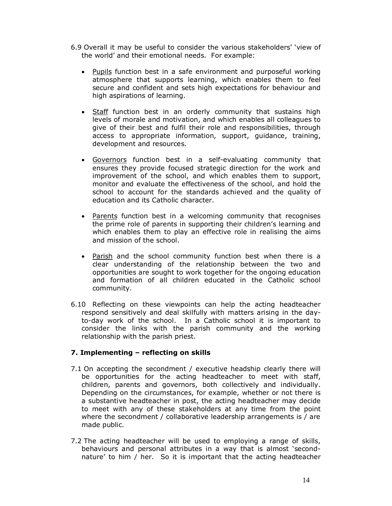- 6.9 Overall it may be useful to consider the various stakeholders' 'view of the world' and their emotional needs. For example:
	- · Pupils function best in a safe environment and purposeful working atmosphere that supports learning, which enables them to feel secure and confident and sets high expectations for behaviour and high aspirations of learning.
	- Staff function best in an orderly community that sustains high levels of morale and motivation, and which enables all colleagues to give of their best and fulfil their role and responsibilities, through access to appropriate information, support, guidance, training, development and resources.
	- · Governors function best in a self-evaluating community that ensures they provide focused strategic direction for the work and improvement of the school, and which enables them to support, monitor and evaluate the effectiveness of the school, and hold the school to account for the standards achieved and the quality of education and its Catholic character.
	- Parents function best in a welcoming community that recognises the prime role of parents in supporting their children's learning and which enables them to play an effective role in realising the aims and mission of the school.
	- · Parish and the school community function best when there is a clear understanding of the relationship between the two and opportunities are sought to work together for the ongoing education and formation of all children educated in the Catholic school community.
- 6.10 Reflecting on these viewpoints can help the acting headteacher respond sensitively and deal skilfully with matters arising in the dayto-day work of the school. In a Catholic school it is important to consider the links with the parish community and the working relationship with the parish priest.

# **7. Implementing – reflecting on skills**

- 7.1 On accepting the secondment / executive headship clearly there will be opportunities for the acting headteacher to meet with staff, children, parents and governors, both collectively and individually. Depending on the circumstances, for example, whether or not there is a substantive headteacher in post, the acting headteacher may decide to meet with any of these stakeholders at any time from the point where the secondment / collaborative leadership arrangements is / are made public.
- 7.2 The acting headteacher will be used to employing a range of skills, behaviours and personal attributes in a way that is almost 'secondnature' to him / her. So it is important that the acting headteacher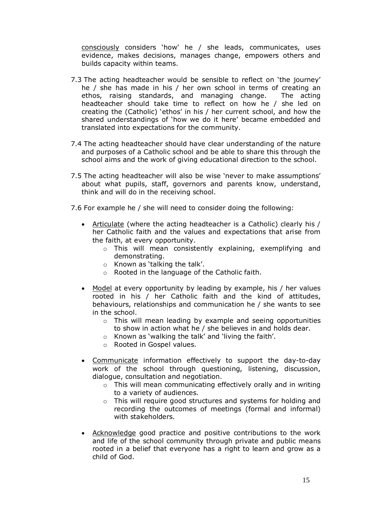consciously considers 'how' he / she leads, communicates, uses evidence, makes decisions, manages change, empowers others and builds capacity within teams.

- 7.3 The acting headteacher would be sensible to reflect on 'the journey' he / she has made in his / her own school in terms of creating an ethos, raising standards, and managing change. The acting headteacher should take time to reflect on how he / she led on creating the (Catholic) 'ethos' in his / her current school, and how the shared understandings of 'how we do it here' became embedded and translated into expectations for the community.
- 7.4 The acting headteacher should have clear understanding of the nature and purposes of a Catholic school and be able to share this through the school aims and the work of giving educational direction to the school.
- 7.5 The acting headteacher will also be wise 'never to make assumptions' about what pupils, staff, governors and parents know, understand, think and will do in the receiving school.
- 7.6 For example he / she will need to consider doing the following:
	- · Articulate (where the acting headteacher is a Catholic) clearly his / her Catholic faith and the values and expectations that arise from the faith, at every opportunity.
		- o This will mean consistently explaining, exemplifying and demonstrating.
		- o Known as 'talking the talk'.
		- o Rooted in the language of the Catholic faith.
	- · Model at every opportunity by leading by example, his / her values rooted in his / her Catholic faith and the kind of attitudes, behaviours, relationships and communication he / she wants to see in the school.
		- o This will mean leading by example and seeing opportunities to show in action what he / she believes in and holds dear.
		- o Known as 'walking the talk' and 'living the faith'.
		- o Rooted in Gospel values.
	- · Communicate information effectively to support the day-to-day work of the school through questioning, listening, discussion, dialogue, consultation and negotiation.
		- o This will mean communicating effectively orally and in writing to a variety of audiences.
		- o This will require good structures and systems for holding and recording the outcomes of meetings (formal and informal) with stakeholders.
	- · Acknowledge good practice and positive contributions to the work and life of the school community through private and public means rooted in a belief that everyone has a right to learn and grow as a child of God.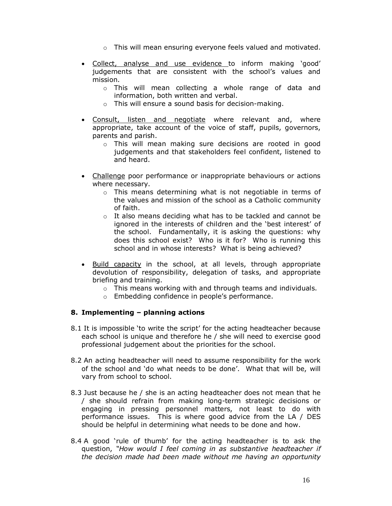- o This will mean ensuring everyone feels valued and motivated.
- · Collect, analyse and use evidence to inform making 'good' judgements that are consistent with the school's values and mission.
	- o This will mean collecting a whole range of data and information, both written and verbal.
	- o This will ensure a sound basis for decision-making.
- · Consult, listen and negotiate where relevant and, where appropriate, take account of the voice of staff, pupils, governors, parents and parish.
	- o This will mean making sure decisions are rooted in good judgements and that stakeholders feel confident, listened to and heard.
- · Challenge poor performance or inappropriate behaviours or actions where necessary.
	- o This means determining what is not negotiable in terms of the values and mission of the school as a Catholic community of faith.
	- $\circ$  It also means deciding what has to be tackled and cannot be ignored in the interests of children and the 'best interest' of the school. Fundamentally, it is asking the questions: why does this school exist? Who is it for? Who is running this school and in whose interests? What is being achieved?
- · Build capacity in the school, at all levels, through appropriate devolution of responsibility, delegation of tasks, and appropriate briefing and training.
	- o This means working with and through teams and individuals.
	- o Embedding confidence in people's performance.

# **8. Implementing – planning actions**

- 8.1 It is impossible 'to write the script' for the acting headteacher because each school is unique and therefore he / she will need to exercise good professional judgement about the priorities for the school.
- 8.2 An acting headteacher will need to assume responsibility for the work of the school and 'do what needs to be done'. What that will be, will vary from school to school.
- 8.3 Just because he / she is an acting headteacher does not mean that he / she should refrain from making long-term strategic decisions or engaging in pressing personnel matters, not least to do with performance issues. This is where good advice from the LA / DES should be helpful in determining what needs to be done and how.
- 8.4 A good 'rule of thumb' for the acting headteacher is to ask the question, *"How would I feel coming in as substantive headteacher if the decision made had been made without me having an opportunity*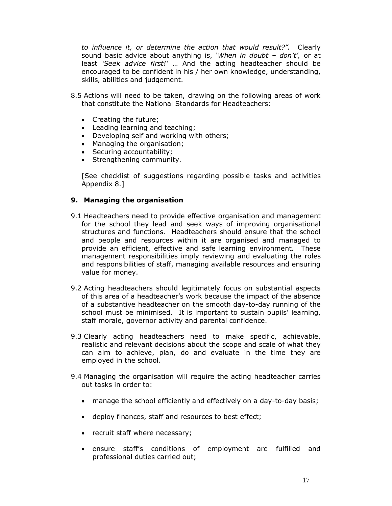*to influence it, or determine the action that would result?".* Clearly sound basic advice about anything is, *'When in doubt – don't',* or at least *'Seek advice first!'* … And the acting headteacher should be encouraged to be confident in his / her own knowledge, understanding, skills, abilities and judgement.

- 8.5 Actions will need to be taken, drawing on the following areas of work that constitute the National Standards for Headteachers:
	- · Creating the future;
	- · Leading learning and teaching;
	- · Developing self and working with others;
	- · Managing the organisation;
	- · Securing accountability;
	- · Strengthening community.

[See checklist of suggestions regarding possible tasks and activities Appendix 8.]

# **9. Managing the organisation**

- 9.1 Headteachers need to provide effective organisation and management for the school they lead and seek ways of improving organisational structures and functions. Headteachers should ensure that the school and people and resources within it are organised and managed to provide an efficient, effective and safe learning environment. These management responsibilities imply reviewing and evaluating the roles and responsibilities of staff, managing available resources and ensuring value for money.
- 9.2 Acting headteachers should legitimately focus on substantial aspects of this area of a headteacher's work because the impact of the absence of a substantive headteacher on the smooth day-to-day running of the school must be minimised. It is important to sustain pupils' learning, staff morale, governor activity and parental confidence.
- 9.3 Clearly acting headteachers need to make specific, achievable, realistic and relevant decisions about the scope and scale of what they can aim to achieve, plan, do and evaluate in the time they are employed in the school.
- 9.4 Managing the organisation will require the acting headteacher carries out tasks in order to:
	- · manage the school efficiently and effectively on a day-to-day basis;
	- · deploy finances, staff and resources to best effect;
	- · recruit staff where necessary;
	- · ensure staff's conditions of employment are fulfilled and professional duties carried out;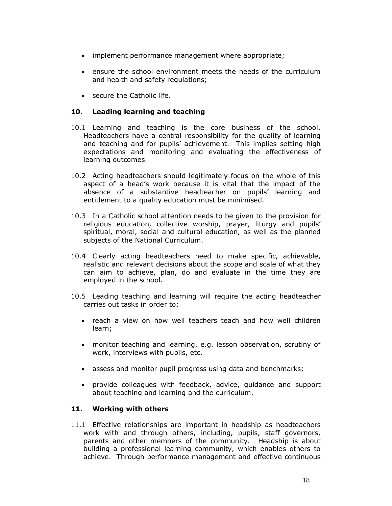- · implement performance management where appropriate;
- · ensure the school environment meets the needs of the curriculum and health and safety regulations;
- · secure the Catholic life.

# **10. Leading learning and teaching**

- 10.1 Learning and teaching is the core business of the school. Headteachers have a central responsibility for the quality of learning and teaching and for pupils' achievement. This implies setting high expectations and monitoring and evaluating the effectiveness of learning outcomes.
- 10.2 Acting headteachers should legitimately focus on the whole of this aspect of a head's work because it is vital that the impact of the absence of a substantive headteacher on pupils' learning and entitlement to a quality education must be minimised.
- 10.3 In a Catholic school attention needs to be given to the provision for religious education, collective worship, prayer, liturgy and pupils' spiritual, moral, social and cultural education, as well as the planned subjects of the National Curriculum.
- 10.4 Clearly acting headteachers need to make specific, achievable, realistic and relevant decisions about the scope and scale of what they can aim to achieve, plan, do and evaluate in the time they are employed in the school.
- 10.5 Leading teaching and learning will require the acting headteacher carries out tasks in order to:
	- · reach a view on how well teachers teach and how well children learn;
	- · monitor teaching and learning, e.g. lesson observation, scrutiny of work, interviews with pupils, etc.
	- · assess and monitor pupil progress using data and benchmarks;
	- · provide colleagues with feedback, advice, guidance and support about teaching and learning and the curriculum.

# **11. Working with others**

11.1 Effective relationships are important in headship as headteachers work with and through others, including, pupils, staff governors, parents and other members of the community.Headship is about building a professional learning community, which enables others to achieve. Through performance management and effective continuous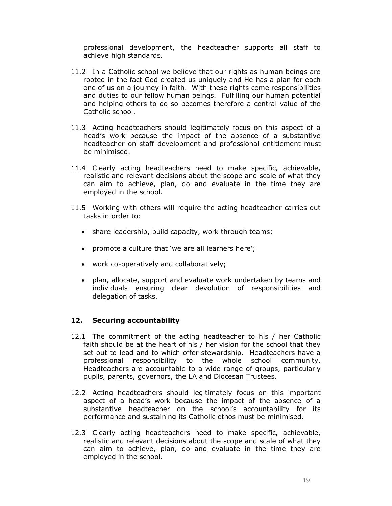professional development, the headteacher supports all staff to achieve high standards.

- 11.2 In a Catholic school we believe that our rights as human beings are rooted in the fact God created us uniquely and He has a plan for each one of us on a journey in faith. With these rights come responsibilities and duties to our fellow human beings. Fulfilling our human potential and helping others to do so becomes therefore a central value of the Catholic school.
- 11.3 Acting headteachers should legitimately focus on this aspect of a head's work because the impact of the absence of a substantive headteacher on staff development and professional entitlement must be minimised.
- 11.4 Clearly acting headteachers need to make specific, achievable, realistic and relevant decisions about the scope and scale of what they can aim to achieve, plan, do and evaluate in the time they are employed in the school.
- 11.5 Working with others will require the acting headteacher carries out tasks in order to:
	- · share leadership, build capacity, work through teams;
	- · promote a culture that 'we are all learners here';
	- · work co-operatively and collaboratively;
	- · plan, allocate, support and evaluate work undertaken by teams and individuals ensuring clear devolution of responsibilities and delegation of tasks.

#### **12. Securing accountability**

- 12.1 The commitment of the acting headteacher to his / her Catholic faith should be at the heart of his / her vision for the school that they set out to lead and to which offer stewardship. Headteachers have a professional responsibility to the whole school community. Headteachers are accountable to a wide range of groups, particularly pupils, parents, governors, the LA and Diocesan Trustees.
- 12.2 Acting headteachers should legitimately focus on this important aspect of a head's work because the impact of the absence of a substantive headteacher on the school's accountability for its performance and sustaining its Catholic ethos must be minimised.
- 12.3 Clearly acting headteachers need to make specific, achievable, realistic and relevant decisions about the scope and scale of what they can aim to achieve, plan, do and evaluate in the time they are employed in the school.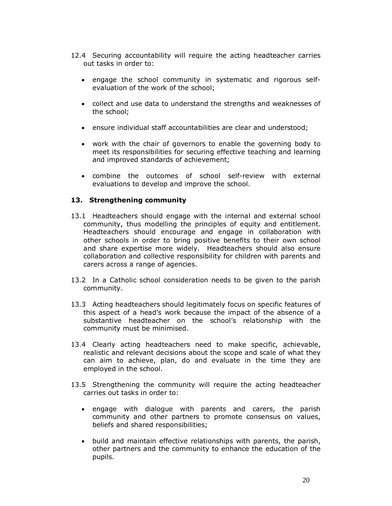- 12.4 Securing accountability will require the acting headteacher carries out tasks in order to:
	- · engage the school community in systematic and rigorous selfevaluation of the work of the school;
	- · collect and use data to understand the strengths and weaknesses of the school;
	- · ensure individual staff accountabilities are clear and understood;
	- · work with the chair of governors to enable the governing body to meet its responsibilities for securing effective teaching and learning and improved standards of achievement;
	- · combine the outcomes of school self-review with external evaluations to develop and improve the school.

# **13. Strengthening community**

- 13.1 Headteachers should engage with the internal and external school community, thus modelling the principles of equity and entitlement. Headteachers should encourage and engage in collaboration with other schools in order to bring positive benefits to their own school and share expertise more widely. Headteachers should also ensure collaboration and collective responsibility for children with parents and carers across a range of agencies.
- 13.2 In a Catholic school consideration needs to be given to the parish community.
- 13.3 Acting headteachers should legitimately focus on specific features of this aspect of a head's work because the impact of the absence of a substantive headteacher on the school's relationship with the community must be minimised.
- 13.4 Clearly acting headteachers need to make specific, achievable, realistic and relevant decisions about the scope and scale of what they can aim to achieve, plan, do and evaluate in the time they are employed in the school.
- 13.5 Strengthening the community will require the acting headteacher carries out tasks in order to:
	- · engage with dialogue with parents and carers, the parish community and other partners to promote consensus on values, beliefs and shared responsibilities;
	- · build and maintain effective relationships with parents, the parish, other partners and the community to enhance the education of the pupils.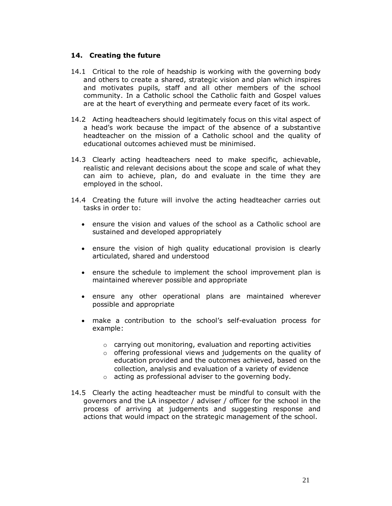#### **14. Creating the future**

- 14.1 Critical to the role of headship is working with the governing body and others to create a shared, strategic vision and plan which inspires and motivates pupils, staff and all other members of the school community. In a Catholic school the Catholic faith and Gospel values are at the heart of everything and permeate every facet of its work.
- 14.2 Acting headteachers should legitimately focus on this vital aspect of a head's work because the impact of the absence of a substantive headteacher on the mission of a Catholic school and the quality of educational outcomes achieved must be minimised.
- 14.3 Clearly acting headteachers need to make specific, achievable, realistic and relevant decisions about the scope and scale of what they can aim to achieve, plan, do and evaluate in the time they are employed in the school.
- 14.4 Creating the future will involve the acting headteacher carries out tasks in order to:
	- · ensure the vision and values of the school as a Catholic school are sustained and developed appropriately
	- · ensure the vision of high quality educational provision is clearly articulated, shared and understood
	- · ensure the schedule to implement the school improvement plan is maintained wherever possible and appropriate
	- · ensure any other operational plans are maintained wherever possible and appropriate
	- · make a contribution to the school's self-evaluation process for example:
		- o carrying out monitoring, evaluation and reporting activities
		- o offering professional views and judgements on the quality of education provided and the outcomes achieved, based on the collection, analysis and evaluation of a variety of evidence
		- o acting as professional adviser to the governing body.
- 14.5 Clearly the acting headteacher must be mindful to consult with the governors and the LA inspector / adviser / officer for the school in the process of arriving at judgements and suggesting response and actions that would impact on the strategic management of the school.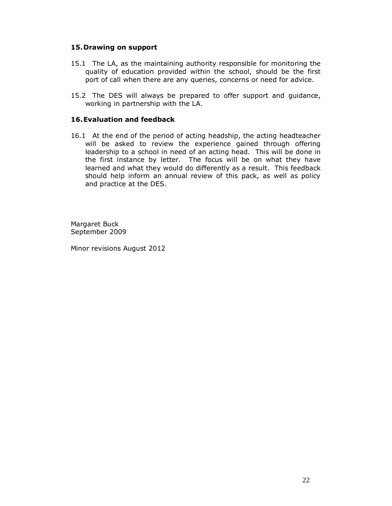# **15.Drawing on support**

- 15.1 The LA, as the maintaining authority responsible for monitoring the quality of education provided within the school, should be the first port of call when there are any queries, concerns or need for advice.
- 15.2 The DES will always be prepared to offer support and guidance, working in partnership with the LA.

# **16.Evaluation and feedback**

16.1 At the end of the period of acting headship, the acting headteacher will be asked to review the experience gained through offering leadership to a school in need of an acting head. This will be done in the first instance by letter. The focus will be on what they have learned and what they would do differently as a result. This feedback should help inform an annual review of this pack, as well as policy and practice at the DES.

Margaret Buck September 2009

Minor revisions August 2012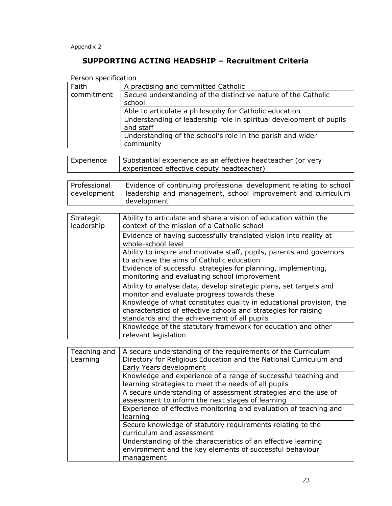Appendix 2

# **SUPPORTING ACTING HEADSHIP – Recruitment Criteria**

| Person specification        |                                                                                                                                                                                       |  |  |  |  |  |  |  |  |
|-----------------------------|---------------------------------------------------------------------------------------------------------------------------------------------------------------------------------------|--|--|--|--|--|--|--|--|
| Faith                       | A practising and committed Catholic                                                                                                                                                   |  |  |  |  |  |  |  |  |
| commitment                  | Secure understanding of the distinctive nature of the Catholic<br>school                                                                                                              |  |  |  |  |  |  |  |  |
|                             | Able to articulate a philosophy for Catholic education                                                                                                                                |  |  |  |  |  |  |  |  |
|                             | Understanding of leadership role in spiritual development of pupils<br>and staff                                                                                                      |  |  |  |  |  |  |  |  |
|                             | Understanding of the school's role in the parish and wider<br>community                                                                                                               |  |  |  |  |  |  |  |  |
| Experience                  | Substantial experience as an effective headteacher (or very<br>experienced effective deputy headteacher)                                                                              |  |  |  |  |  |  |  |  |
| Professional<br>development | Evidence of continuing professional development relating to school<br>leadership and management, school improvement and curriculum<br>development                                     |  |  |  |  |  |  |  |  |
|                             |                                                                                                                                                                                       |  |  |  |  |  |  |  |  |
| Strategic<br>leadership     | Ability to articulate and share a vision of education within the<br>context of the mission of a Catholic school                                                                       |  |  |  |  |  |  |  |  |
|                             | Evidence of having successfully translated vision into reality at<br>whole-school level                                                                                               |  |  |  |  |  |  |  |  |
|                             | Ability to inspire and motivate staff, pupils, parents and governors<br>to achieve the aims of Catholic education                                                                     |  |  |  |  |  |  |  |  |
|                             | Evidence of successful strategies for planning, implementing,<br>monitoring and evaluating school improvement                                                                         |  |  |  |  |  |  |  |  |
|                             | Ability to analyse data, develop strategic plans, set targets and<br>monitor and evaluate progress towards these                                                                      |  |  |  |  |  |  |  |  |
|                             | Knowledge of what constitutes quality in educational provision, the<br>characteristics of effective schools and strategies for raising<br>standards and the achievement of all pupils |  |  |  |  |  |  |  |  |
|                             | Knowledge of the statutory framework for education and other<br>relevant legislation                                                                                                  |  |  |  |  |  |  |  |  |
|                             |                                                                                                                                                                                       |  |  |  |  |  |  |  |  |
| Teaching and<br>Learning    | A secure understanding of the requirements of the Curriculum<br>Directory for Religious Education and the National Curriculum and<br>Early Years development                          |  |  |  |  |  |  |  |  |
|                             | Knowledge and experience of a range of successful teaching and<br>learning strategies to meet the needs of all pupils                                                                 |  |  |  |  |  |  |  |  |
|                             | A secure understanding of assessment strategies and the use of<br>assessment to inform the next stages of learning                                                                    |  |  |  |  |  |  |  |  |
|                             | Experience of effective monitoring and evaluation of teaching and<br>learning                                                                                                         |  |  |  |  |  |  |  |  |
|                             | Secure knowledge of statutory requirements relating to the<br>curriculum and assessment                                                                                               |  |  |  |  |  |  |  |  |
|                             | Understanding of the characteristics of an effective learning<br>environment and the key elements of successful behaviour<br>management                                               |  |  |  |  |  |  |  |  |
|                             |                                                                                                                                                                                       |  |  |  |  |  |  |  |  |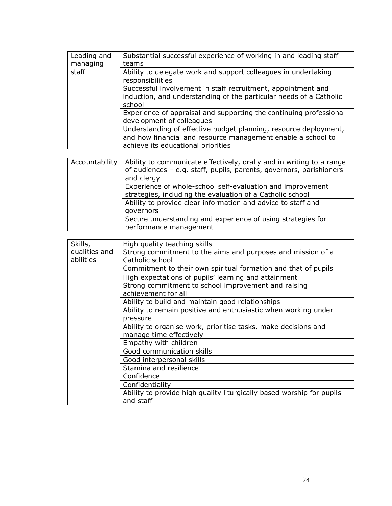| Leading and<br>managing    | Substantial successful experience of working in and leading staff<br>teams                                                                                             |
|----------------------------|------------------------------------------------------------------------------------------------------------------------------------------------------------------------|
| staff                      | Ability to delegate work and support colleagues in undertaking<br>responsibilities                                                                                     |
|                            | Successful involvement in staff recruitment, appointment and<br>induction, and understanding of the particular needs of a Catholic<br>school                           |
|                            | Experience of appraisal and supporting the continuing professional<br>development of colleagues                                                                        |
|                            | Understanding of effective budget planning, resource deployment,<br>and how financial and resource management enable a school to<br>achieve its educational priorities |
|                            |                                                                                                                                                                        |
| Accountability             | Ability to communicate effectively, orally and in writing to a range<br>of audiences - e.g. staff, pupils, parents, governors, parishioners<br>and clergy              |
|                            | Experience of whole-school self-evaluation and improvement<br>strategies, including the evaluation of a Catholic school                                                |
|                            | Ability to provide clear information and advice to staff and<br>governors                                                                                              |
|                            | Secure understanding and experience of using strategies for<br>performance management                                                                                  |
|                            |                                                                                                                                                                        |
| Skills,                    | High quality teaching skills                                                                                                                                           |
| qualities and<br>abilities | Strong commitment to the aims and purposes and mission of a<br>Catholic school                                                                                         |
|                            | Commitment to their own spiritual formation and that of pupils                                                                                                         |
|                            | High expectations of pupils' learning and attainment                                                                                                                   |
|                            | Strong commitment to school improvement and raising<br>achievement for all                                                                                             |
|                            | Ability to build and maintain good relationships                                                                                                                       |
|                            | Ability to remain positive and enthusiastic when working under<br>pressure                                                                                             |
|                            | Ability to organise work, prioritise tasks, make decisions and<br>manage time effectively                                                                              |
|                            | Empathy with children                                                                                                                                                  |
|                            | Good communication skills                                                                                                                                              |
|                            | Good interpersonal skills                                                                                                                                              |
|                            | Stamina and resilience                                                                                                                                                 |
|                            |                                                                                                                                                                        |
|                            |                                                                                                                                                                        |
|                            | Ability to provide high quality liturgically based worship for pupils                                                                                                  |
|                            | Confidence<br>Confidentiality                                                                                                                                          |
|                            | and staff                                                                                                                                                              |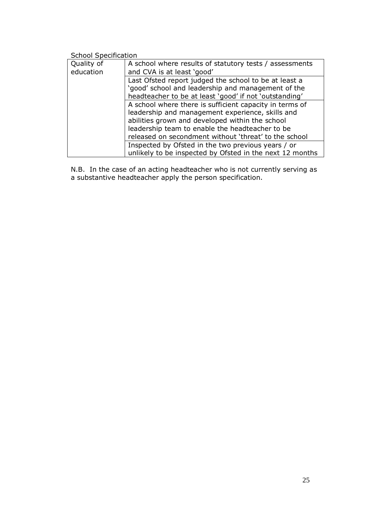| School Specification |                                                          |  |  |  |  |  |  |
|----------------------|----------------------------------------------------------|--|--|--|--|--|--|
| Quality of           | A school where results of statutory tests / assessments  |  |  |  |  |  |  |
| education            | and CVA is at least 'good'                               |  |  |  |  |  |  |
|                      | Last Ofsted report judged the school to be at least a    |  |  |  |  |  |  |
|                      | 'good' school and leadership and management of the       |  |  |  |  |  |  |
|                      | headteacher to be at least 'good' if not 'outstanding'   |  |  |  |  |  |  |
|                      | A school where there is sufficient capacity in terms of  |  |  |  |  |  |  |
|                      | leadership and management experience, skills and         |  |  |  |  |  |  |
|                      | abilities grown and developed within the school          |  |  |  |  |  |  |
|                      | leadership team to enable the headteacher to be          |  |  |  |  |  |  |
|                      | released on secondment without 'threat' to the school    |  |  |  |  |  |  |
|                      | Inspected by Ofsted in the two previous years / or       |  |  |  |  |  |  |
|                      | unlikely to be inspected by Ofsted in the next 12 months |  |  |  |  |  |  |

N.B. In the case of an acting headteacher who is not currently serving as a substantive headteacher apply the person specification.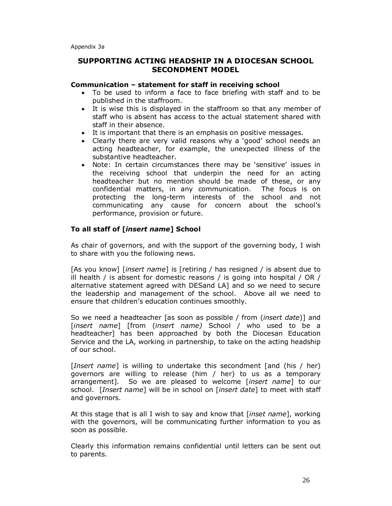# **SUPPORTING ACTING HEADSHIP IN A DIOCESAN SCHOOL SECONDMENT MODEL**

#### **Communication – statement for staff in receiving school**

- · To be used to inform a face to face briefing with staff and to be published in the staffroom.
- · It is wise this is displayed in the staffroom so that any member of staff who is absent has access to the actual statement shared with staff in their absence.
- · It is important that there is an emphasis on positive messages.
- · Clearly there are very valid reasons why a 'good' school needs an acting headteacher, for example, the unexpected illness of the substantive headteacher.
- · Note: In certain circumstances there may be 'sensitive' issues in the receiving school that underpin the need for an acting headteacher but no mention should be made of these, or any confidential matters, in any communication. The focus is on protecting the long-term interests of the school and not communicating any cause for concern about the school's performance, provision or future.

# **To all staff of [***insert name***] School**

As chair of governors, and with the support of the governing body, I wish to share with you the following news.

[As you know] [*insert name*] is [retiring / has resigned / is absent due to ill health / is absent for domestic reasons / is going into hospital / OR / alternative statement agreed with DESand LA] and so we need to secure the leadership and management of the school. Above all we need to ensure that children's education continues smoothly.

So we need a headteacher [as soon as possible / from (*insert date*)] and [*insert name*] [from (*insert name)* School / who used to be a headteacher] has been approached by both the Diocesan Education Service and the LA, working in partnership, to take on the acting headship of our school.

[*Insert name*] is willing to undertake this secondment [and (his / her) governors are willing to release (him / her) to us as a temporary arrangement]. So we are pleased to welcome [*insert name*] to our school. [*Insert name*] will be in school on [*insert date*] to meet with staff and governors.

At this stage that is all I wish to say and know that [*inset name*], working with the governors, will be communicating further information to you as soon as possible.

Clearly this information remains confidential until letters can be sent out to parents.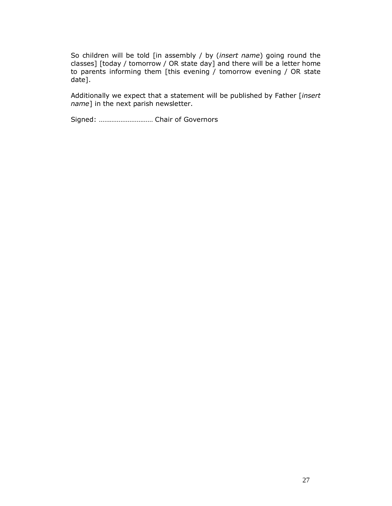So children will be told [in assembly / by (*insert name*) going round the classes] [today / tomorrow / OR state day] and there will be a letter home to parents informing them [this evening / tomorrow evening / OR state date].

Additionally we expect that a statement will be published by Father [*insert name*] in the next parish newsletter.

Signed: ………………………… Chair of Governors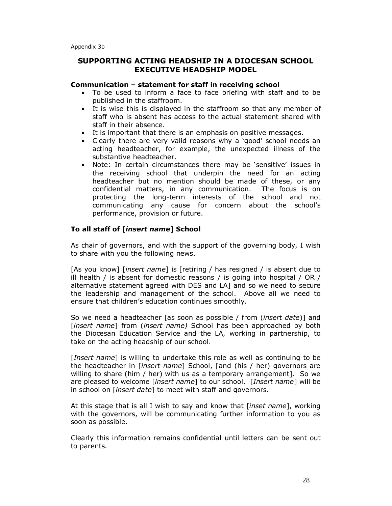# **SUPPORTING ACTING HEADSHIP IN A DIOCESAN SCHOOL EXECUTIVE HEADSHIP MODEL**

#### **Communication – statement for staff in receiving school**

- · To be used to inform a face to face briefing with staff and to be published in the staffroom.
- · It is wise this is displayed in the staffroom so that any member of staff who is absent has access to the actual statement shared with staff in their absence.
- · It is important that there is an emphasis on positive messages.
- · Clearly there are very valid reasons why a 'good' school needs an acting headteacher, for example, the unexpected illness of the substantive headteacher.
- · Note: In certain circumstances there may be 'sensitive' issues in the receiving school that underpin the need for an acting headteacher but no mention should be made of these, or any confidential matters, in any communication. The focus is on protecting the long-term interests of the school and not communicating any cause for concern about the school's performance, provision or future.

#### **To all staff of [***insert name***] School**

As chair of governors, and with the support of the governing body, I wish to share with you the following news.

[As you know] [*insert name*] is [retiring / has resigned / is absent due to ill health / is absent for domestic reasons / is going into hospital / OR / alternative statement agreed with DES and LA] and so we need to secure the leadership and management of the school. Above all we need to ensure that children's education continues smoothly.

So we need a headteacher [as soon as possible / from (*insert date*)] and [*insert name*] from (*insert name)* School has been approached by both the Diocesan Education Service and the LA, working in partnership, to take on the acting headship of our school.

[*Insert name*] is willing to undertake this role as well as continuing to be the headteacher in [*insert name*] School, [and (his / her) governors are willing to share (him / her) with us as a temporary arrangement]. So we are pleased to welcome [*insert name*] to our school. [*Insert name*] will be in school on [*insert date*] to meet with staff and governors.

At this stage that is all I wish to say and know that [*inset name*], working with the governors, will be communicating further information to you as soon as possible.

Clearly this information remains confidential until letters can be sent out to parents.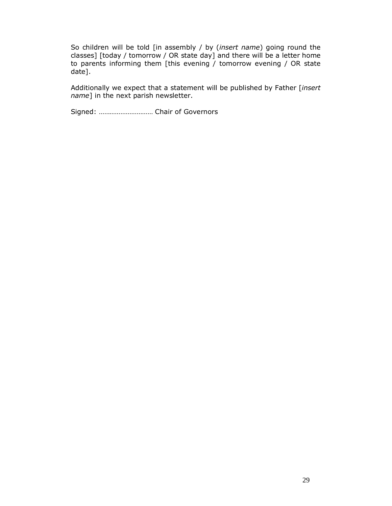So children will be told [in assembly / by (*insert name*) going round the classes] [today / tomorrow / OR state day] and there will be a letter home to parents informing them [this evening / tomorrow evening / OR state date].

Additionally we expect that a statement will be published by Father [*insert name*] in the next parish newsletter.

Signed: ………………………… Chair of Governors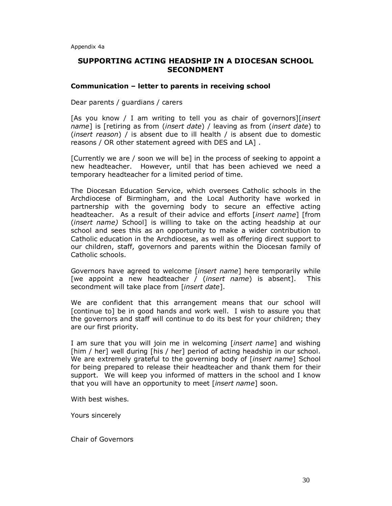# **SUPPORTING ACTING HEADSHIP IN A DIOCESAN SCHOOL SECONDMENT**

#### **Communication – letter to parents in receiving school**

Dear parents / guardians / carers

[As you know / I am writing to tell you as chair of governors][*insert name*] is [retiring as from (*insert date*) / leaving as from (*insert date*) to (*insert reason*) / is absent due to ill health / is absent due to domestic reasons / OR other statement agreed with DES and LA] .

[Currently we are / soon we will be] in the process of seeking to appoint a new headteacher. However, until that has been achieved we need a temporary headteacher for a limited period of time.

The Diocesan Education Service, which oversees Catholic schools in the Archdiocese of Birmingham, and the Local Authority have worked in partnership with the governing body to secure an effective acting headteacher. As a result of their advice and efforts [*insert name*] [from (*insert name)* School] is willing to take on the acting headship at our school and sees this as an opportunity to make a wider contribution to Catholic education in the Archdiocese, as well as offering direct support to our children, staff, governors and parents within the Diocesan family of Catholic schools.

Governors have agreed to welcome [*insert name*] here temporarily while [we appoint a new headteacher / (*insert name*) is absent]. This secondment will take place from [*insert date*].

We are confident that this arrangement means that our school will [continue to] be in good hands and work well. I wish to assure you that the governors and staff will continue to do its best for your children; they are our first priority.

I am sure that you will join me in welcoming [*insert name*] and wishing [him / her] well during [his / her] period of acting headship in our school. We are extremely grateful to the governing body of [*insert name*] School for being prepared to release their headteacher and thank them for their support. We will keep you informed of matters in the school and I know that you will have an opportunity to meet [*insert name*] soon.

With best wishes.

Yours sincerely

Chair of Governors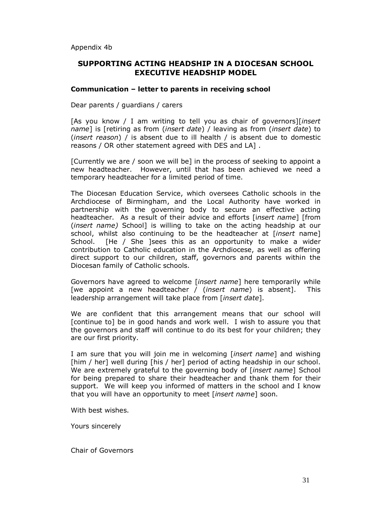Appendix 4b

# **SUPPORTING ACTING HEADSHIP IN A DIOCESAN SCHOOL EXECUTIVE HEADSHIP MODEL**

#### **Communication – letter to parents in receiving school**

Dear parents / guardians / carers

[As you know / I am writing to tell you as chair of governors][*insert name*] is [retiring as from (*insert date*) / leaving as from (*insert date*) to (*insert reason*) / is absent due to ill health / is absent due to domestic reasons / OR other statement agreed with DES and LA] .

[Currently we are / soon we will be] in the process of seeking to appoint a new headteacher. However, until that has been achieved we need a temporary headteacher for a limited period of time.

The Diocesan Education Service, which oversees Catholic schools in the Archdiocese of Birmingham, and the Local Authority have worked in partnership with the governing body to secure an effective acting headteacher. As a result of their advice and efforts [i*nsert name*] [from (*insert name)* School] is willing to take on the acting headship at our school, whilst also continuing to be the headteacher at [*insert* name] School. [He / She ]sees this as an opportunity to make a wider contribution to Catholic education in the Archdiocese, as well as offering direct support to our children, staff, governors and parents within the Diocesan family of Catholic schools.

Governors have agreed to welcome [*insert name*] here temporarily while [we appoint a new headteacher / (*insert name*) is absent]. This leadership arrangement will take place from [*insert date*].

We are confident that this arrangement means that our school will [continue to] be in good hands and work well. I wish to assure you that the governors and staff will continue to do its best for your children; they are our first priority.

I am sure that you will join me in welcoming [*insert name*] and wishing [him / her] well during [his / her] period of acting headship in our school. We are extremely grateful to the governing body of [*insert name*] School for being prepared to share their headteacher and thank them for their support. We will keep you informed of matters in the school and I know that you will have an opportunity to meet [*insert name*] soon.

With best wishes.

Yours sincerely

Chair of Governors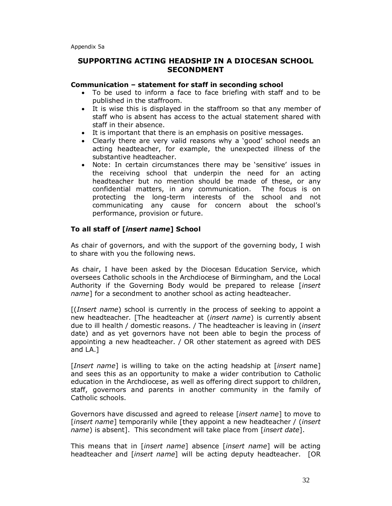# **SUPPORTING ACTING HEADSHIP IN A DIOCESAN SCHOOL SECONDMENT**

#### **Communication – statement for staff in seconding school**

- · To be used to inform a face to face briefing with staff and to be published in the staffroom.
- · It is wise this is displayed in the staffroom so that any member of staff who is absent has access to the actual statement shared with staff in their absence.
- · It is important that there is an emphasis on positive messages.
- · Clearly there are very valid reasons why a 'good' school needs an acting headteacher, for example, the unexpected illness of the substantive headteacher.
- · Note: In certain circumstances there may be 'sensitive' issues in the receiving school that underpin the need for an acting headteacher but no mention should be made of these, or any confidential matters, in any communication. The focus is on protecting the long-term interests of the school and not communicating any cause for concern about the school's performance, provision or future.

# **To all staff of [***insert name***] School**

As chair of governors, and with the support of the governing body, I wish to share with you the following news.

As chair, I have been asked by the Diocesan Education Service, which oversees Catholic schools in the Archdiocese of Birmingham, and the Local Authority if the Governing Body would be prepared to release [*insert name*] for a secondment to another school as acting headteacher.

[(*Insert name*) school is currently in the process of seeking to appoint a new headteacher. [The headteacher at (*insert name*) is currently absent due to ill health / domestic reasons. / The headteacher is leaving in (*insert*  date) and as yet governors have not been able to begin the process of appointing a new headteacher. / OR other statement as agreed with DES and LA.]

[*Insert name*] is willing to take on the acting headship at [*insert* name] and sees this as an opportunity to make a wider contribution to Catholic education in the Archdiocese, as well as offering direct support to children, staff, governors and parents in another community in the family of Catholic schools.

Governors have discussed and agreed to release [*insert name*] to move to [*insert name*] temporarily while [they appoint a new headteacher / (*insert name*) is absent]. This secondment will take place from [*insert date*].

This means that in [*insert name*] absence [*insert name*] will be acting headteacher and [*insert name*] will be acting deputy headteacher. [OR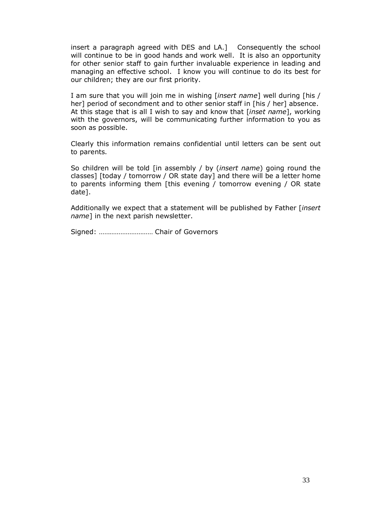insert a paragraph agreed with DES and LA.] Consequently the school will continue to be in good hands and work well. It is also an opportunity for other senior staff to gain further invaluable experience in leading and managing an effective school. I know you will continue to do its best for our children; they are our first priority.

I am sure that you will join me in wishing [*insert name*] well during [his / her] period of secondment and to other senior staff in [his / her] absence. At this stage that is all I wish to say and know that [*inset name*], working with the governors, will be communicating further information to you as soon as possible.

Clearly this information remains confidential until letters can be sent out to parents.

So children will be told [in assembly / by (*insert name*) going round the classes] [today / tomorrow / OR state day] and there will be a letter home to parents informing them [this evening / tomorrow evening / OR state date].

Additionally we expect that a statement will be published by Father [*insert name*] in the next parish newsletter.

Signed: ………………………… Chair of Governors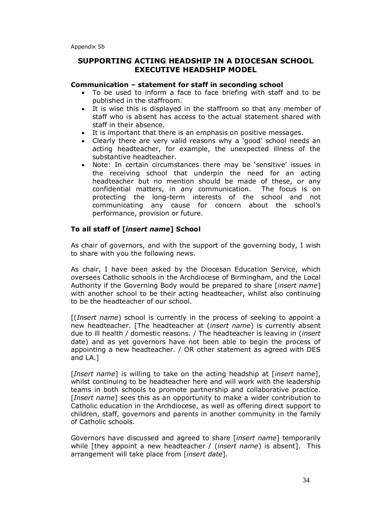# **SUPPORTING ACTING HEADSHIP IN A DIOCESAN SCHOOL EXECUTIVE HEADSHIP MODEL**

#### **Communication – statement for staff in seconding school**

- To be used to inform a face to face briefing with staff and to be published in the staffroom.
- · It is wise this is displayed in the staffroom so that any member of staff who is absent has access to the actual statement shared with staff in their absence.
- · It is important that there is an emphasis on positive messages.
- · Clearly there are very valid reasons why a 'good' school needs an acting headteacher, for example, the unexpected illness of the substantive headteacher.
- · Note: In certain circumstances there may be 'sensitive' issues in the receiving school that underpin the need for an acting headteacher but no mention should be made of these, or any confidential matters, in any communication. The focus is on protecting the long-term interests of the school and not communicating any cause for concern about the school's performance, provision or future.

# **To all staff of [***insert name***] School**

As chair of governors, and with the support of the governing body, I wish to share with you the following news.

As chair, I have been asked by the Diocesan Education Service, which oversees Catholic schools in the Archdiocese of Birmingham, and the Local Authority if the Governing Body would be prepared to share [*insert name*] with another school to be their acting headteacher, whilst also continuing to be the headteacher of our school.

[(*Insert name*) school is currently in the process of seeking to appoint a new headteacher. [The headteacher at (*insert name*) is currently absent due to ill health / domestic reasons. / The headteacher is leaving in (*insert*  date) and as yet governors have not been able to begin the process of appointing a new headteacher. / OR other statement as agreed with DES and LA.]

[*Insert name*] is willing to take on the acting headship at [*insert* name], whilst continuing to be headteacher here and will work with the leadership teams in both schools to promote partnership and collaborative practice. [*Insert name*] sees this as an opportunity to make a wider contribution to Catholic education in the Archdiocese, as well as offering direct support to children, staff, governors and parents in another community in the family of Catholic schools.

Governors have discussed and agreed to share [*insert name*] temporarily while [they appoint a new headteacher / (*insert name*) is absent]. This arrangement will take place from [*insert date*].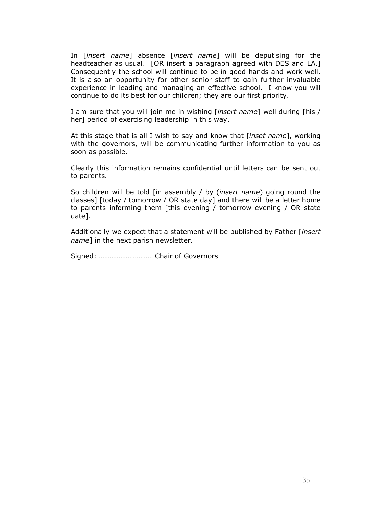In [*insert name*] absence [*insert name*] will be deputising for the headteacher as usual. [OR insert a paragraph agreed with DES and LA.] Consequently the school will continue to be in good hands and work well. It is also an opportunity for other senior staff to gain further invaluable experience in leading and managing an effective school. I know you will continue to do its best for our children; they are our first priority.

I am sure that you will join me in wishing [*insert name*] well during [his / her] period of exercising leadership in this way.

At this stage that is all I wish to say and know that [*inset name*], working with the governors, will be communicating further information to you as soon as possible.

Clearly this information remains confidential until letters can be sent out to parents.

So children will be told [in assembly / by (*insert name*) going round the classes] [today / tomorrow / OR state day] and there will be a letter home to parents informing them [this evening / tomorrow evening / OR state date].

Additionally we expect that a statement will be published by Father [*insert name*] in the next parish newsletter.

Signed: ………………………… Chair of Governors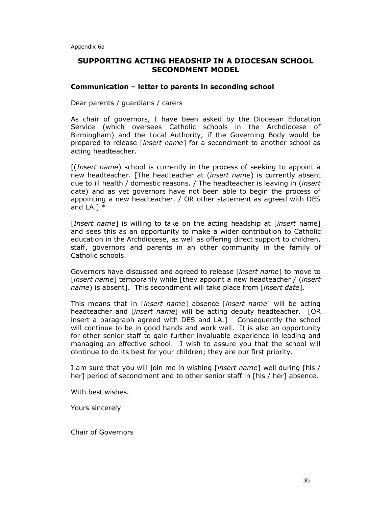# **SUPPORTING ACTING HEADSHIP IN A DIOCESAN SCHOOL SECONDMENT MODEL**

#### **Communication – letter to parents in seconding school**

#### Dear parents / guardians / carers

As chair of governors, I have been asked by the Diocesan Education Service (which oversees Catholic schools in the Archdiocese of Birmingham) and the Local Authority, if the Governing Body would be prepared to release [*insert name*] for a secondment to another school as acting headteacher.

[(*Insert name*) school is currently in the process of seeking to appoint a new headteacher. [The headteacher at (*insert name*) is currently absent due to ill health / domestic reasons. / The headteacher is leaving in (*insert*  date) and as yet governors have not been able to begin the process of appointing a new headteacher. / OR other statement as agreed with DES and LA.]  $*$ 

[*Insert name*] is willing to take on the acting headship at [*insert* name] and sees this as an opportunity to make a wider contribution to Catholic education in the Archdiocese, as well as offering direct support to children, staff, governors and parents in an other community in the family of Catholic schools.

Governors have discussed and agreed to release [*insert name*] to move to [*insert name*] temporarily while [they appoint a new headteacher / (*insert name*) is absent]. This secondment will take place from [*insert date*].

This means that in [*insert name*] absence [*insert name*] will be acting headteacher and [*insert name*] will be acting deputy headteacher. [OR insert a paragraph agreed with DES and LA.] Consequently the school will continue to be in good hands and work well. It is also an opportunity for other senior staff to gain further invaluable experience in leading and managing an effective school. I wish to assure you that the school will continue to do its best for your children; they are our first priority.

I am sure that you will join me in wishing [*insert name*] well during [his / her] period of secondment and to other senior staff in [his / her] absence.

With best wishes.

Yours sincerely

Chair of Governors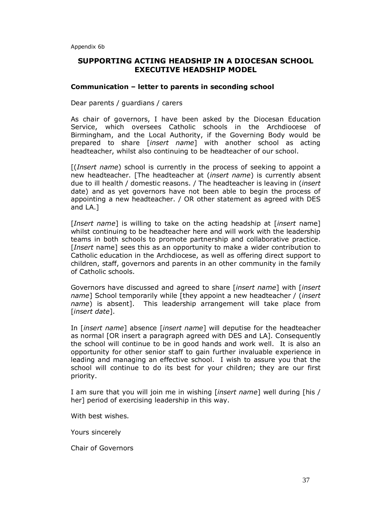# **SUPPORTING ACTING HEADSHIP IN A DIOCESAN SCHOOL EXECUTIVE HEADSHIP MODEL**

#### **Communication – letter to parents in seconding school**

#### Dear parents / guardians / carers

As chair of governors, I have been asked by the Diocesan Education Service, which oversees Catholic schools in the Archdiocese of Birmingham, and the Local Authority, if the Governing Body would be prepared to share [*insert name*] with another school as acting headteacher, whilst also continuing to be headteacher of our school.

[(*Insert name*) school is currently in the process of seeking to appoint a new headteacher. [The headteacher at (*insert name*) is currently absent due to ill health / domestic reasons. / The headteacher is leaving in (*insert*  date) and as yet governors have not been able to begin the process of appointing a new headteacher. / OR other statement as agreed with DES and LA.]

[*Insert name*] is willing to take on the acting headship at [*insert* name] whilst continuing to be headteacher here and will work with the leadership teams in both schools to promote partnership and collaborative practice. [*Insert* name] sees this as an opportunity to make a wider contribution to Catholic education in the Archdiocese, as well as offering direct support to children, staff, governors and parents in an other community in the family of Catholic schools.

Governors have discussed and agreed to share [*insert name*] with [*insert name*] School temporarily while [they appoint a new headteacher / (*insert name*) is absent]. This leadership arrangement will take place from [*insert date*].

In [*insert name*] absence [*insert name*] will deputise for the headteacher as normal [OR insert a paragraph agreed with DES and LA]. Consequently the school will continue to be in good hands and work well. It is also an opportunity for other senior staff to gain further invaluable experience in leading and managing an effective school. I wish to assure you that the school will continue to do its best for your children; they are our first priority.

I am sure that you will join me in wishing [*insert name*] well during [his / her] period of exercising leadership in this way.

With best wishes.

Yours sincerely

Chair of Governors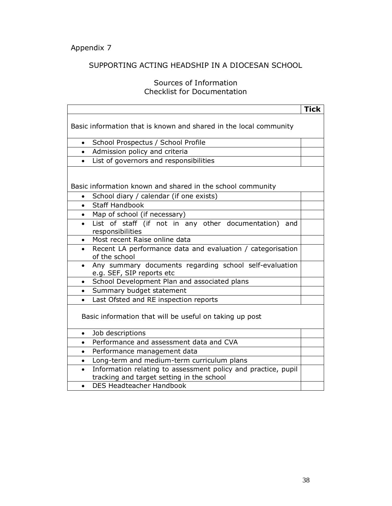# SUPPORTING ACTING HEADSHIP IN A DIOCESAN SCHOOL

# Sources of Information Checklist for Documentation

|                                                                                                            | <b>Tick</b> |  |  |  |  |  |  |
|------------------------------------------------------------------------------------------------------------|-------------|--|--|--|--|--|--|
| Basic information that is known and shared in the local community                                          |             |  |  |  |  |  |  |
| School Prospectus / School Profile<br>$\bullet$                                                            |             |  |  |  |  |  |  |
| Admission policy and criteria<br>$\bullet$                                                                 |             |  |  |  |  |  |  |
| List of governors and responsibilities<br>$\bullet$                                                        |             |  |  |  |  |  |  |
| Basic information known and shared in the school community                                                 |             |  |  |  |  |  |  |
| School diary / calendar (if one exists)<br>$\bullet$                                                       |             |  |  |  |  |  |  |
| <b>Staff Handbook</b><br>$\bullet$                                                                         |             |  |  |  |  |  |  |
| Map of school (if necessary)                                                                               |             |  |  |  |  |  |  |
| List of staff (if not in any other documentation) and<br>responsibilities                                  |             |  |  |  |  |  |  |
| Most recent Raise online data<br>$\bullet$                                                                 |             |  |  |  |  |  |  |
| Recent LA performance data and evaluation / categorisation<br>$\bullet$<br>of the school                   |             |  |  |  |  |  |  |
| Any summary documents regarding school self-evaluation<br>$\bullet$<br>e.g. SEF, SIP reports etc           |             |  |  |  |  |  |  |
| School Development Plan and associated plans<br>$\bullet$                                                  |             |  |  |  |  |  |  |
| Summary budget statement<br>$\bullet$                                                                      |             |  |  |  |  |  |  |
| Last Ofsted and RE inspection reports<br>$\bullet$                                                         |             |  |  |  |  |  |  |
| Basic information that will be useful on taking up post                                                    |             |  |  |  |  |  |  |
| Job descriptions<br>$\bullet$                                                                              |             |  |  |  |  |  |  |
| Performance and assessment data and CVA                                                                    |             |  |  |  |  |  |  |
| Performance management data<br>$\bullet$                                                                   |             |  |  |  |  |  |  |
| Long-term and medium-term curriculum plans<br>$\bullet$                                                    |             |  |  |  |  |  |  |
| Information relating to assessment policy and practice, pupil<br>tracking and target setting in the school |             |  |  |  |  |  |  |
| <b>DES Headteacher Handbook</b><br>$\bullet$                                                               |             |  |  |  |  |  |  |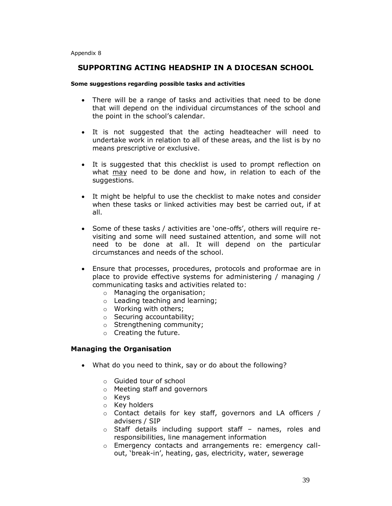Appendix 8

### **SUPPORTING ACTING HEADSHIP IN A DIOCESAN SCHOOL**

#### **Some suggestions regarding possible tasks and activities**

- · There will be a range of tasks and activities that need to be done that will depend on the individual circumstances of the school and the point in the school's calendar.
- · It is not suggested that the acting headteacher will need to undertake work in relation to all of these areas, and the list is by no means prescriptive or exclusive.
- · It is suggested that this checklist is used to prompt reflection on what may need to be done and how, in relation to each of the suggestions.
- · It might be helpful to use the checklist to make notes and consider when these tasks or linked activities may best be carried out, if at all.
- · Some of these tasks / activities are 'one-offs', others will require revisiting and some will need sustained attention, and some will not need to be done at all. It will depend on the particular circumstances and needs of the school.
- · Ensure that processes, procedures, protocols and proformae are in place to provide effective systems for administering / managing / communicating tasks and activities related to:
	- o Managing the organisation;
	- o Leading teaching and learning;
	- o Working with others;
	- o Securing accountability;
	- o Strengthening community;
	- o Creating the future.

#### **Managing the Organisation**

- · What do you need to think, say or do about the following?
	- o Guided tour of school
	- o Meeting staff and governors
	- o Keys
	- o Key holders
	- o Contact details for key staff, governors and LA officers / advisers / SIP
	- o Staff details including support staff names, roles and responsibilities, line management information
	- o Emergency contacts and arrangements re: emergency callout, 'break-in', heating, gas, electricity, water, sewerage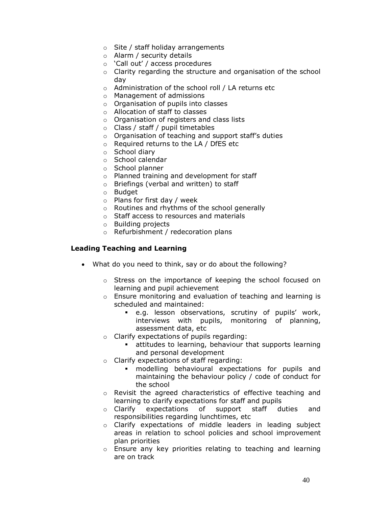- o Site / staff holiday arrangements
- o Alarm / security details
- o 'Call out' / access procedures
- o Clarity regarding the structure and organisation of the school day
- o Administration of the school roll / LA returns etc
- o Management of admissions
- o Organisation of pupils into classes
- o Allocation of staff to classes
- o Organisation of registers and class lists
- o Class / staff / pupil timetables
- o Organisation of teaching and support staff's duties
- o Required returns to the LA / DfES etc
- o School diary
- o School calendar
- o School planner
- o Planned training and development for staff
- o Briefings (verbal and written) to staff
- o Budget
- o Plans for first day / week
- o Routines and rhythms of the school generally
- o Staff access to resources and materials
- o Building projects
- o Refurbishment / redecoration plans

#### **Leading Teaching and Learning**

- · What do you need to think, say or do about the following?
	- o Stress on the importance of keeping the school focused on learning and pupil achievement
	- o Ensure monitoring and evaluation of teaching and learning is scheduled and maintained:
		- ß e.g. lesson observations, scrutiny of pupils' work, interviews with pupils, monitoring of planning, assessment data, etc
	- o Clarify expectations of pupils regarding:
		- **EXECT** attitudes to learning, behaviour that supports learning and personal development
	- o Clarify expectations of staff regarding:
		- **n** modelling behavioural expectations for pupils and maintaining the behaviour policy / code of conduct for the school
	- o Revisit the agreed characteristics of effective teaching and learning to clarify expectations for staff and pupils
	- o Clarify expectations of support staff duties and responsibilities regarding lunchtimes, etc
	- o Clarify expectations of middle leaders in leading subject areas in relation to school policies and school improvement plan priorities
	- o Ensure any key priorities relating to teaching and learning are on track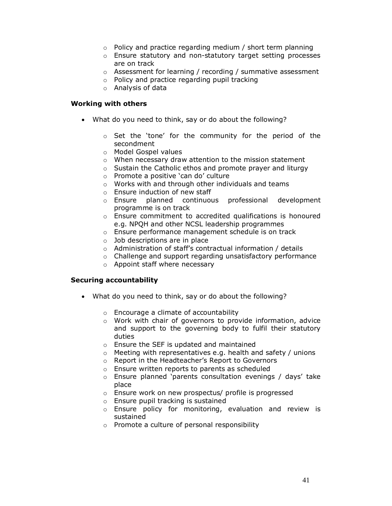- o Policy and practice regarding medium / short term planning
- o Ensure statutory and non-statutory target setting processes are on track
- o Assessment for learning / recording / summative assessment
- o Policy and practice regarding pupil tracking
- o Analysis of data

#### **Working with others**

- · What do you need to think, say or do about the following?
	- o Set the 'tone' for the community for the period of the secondment
	- o Model Gospel values
	- o When necessary draw attention to the mission statement
	- o Sustain the Catholic ethos and promote prayer and liturgy
	- o Promote a positive 'can do' culture
	- o Works with and through other individuals and teams
	- o Ensure induction of new staff
	- o Ensure planned continuous professional development programme is on track
	- o Ensure commitment to accredited qualifications is honoured e.g. NPQH and other NCSL leadership programmes
	- o Ensure performance management schedule is on track
	- $\circ$  Job descriptions are in place
	- o Administration of staff's contractual information / details
	- o Challenge and support regarding unsatisfactory performance
	- o Appoint staff where necessary

#### **Securing accountability**

- · What do you need to think, say or do about the following?
	- o Encourage a climate of accountability
	- o Work with chair of governors to provide information, advice and support to the governing body to fulfil their statutory duties
	- o Ensure the SEF is updated and maintained
	- o Meeting with representatives e.g. health and safety / unions
	- o Report in the Headteacher's Report to Governors
	- o Ensure written reports to parents as scheduled
	- o Ensure planned 'parents consultation evenings / days' take place
	- o Ensure work on new prospectus/ profile is progressed
	- o Ensure pupil tracking is sustained
	- o Ensure policy for monitoring, evaluation and review is sustained
	- o Promote a culture of personal responsibility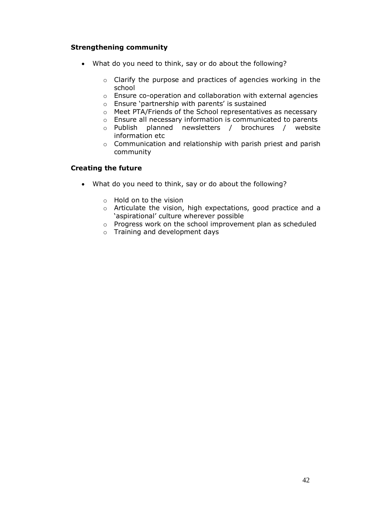# **Strengthening community**

- · What do you need to think, say or do about the following?
	- o Clarify the purpose and practices of agencies working in the school
	- o Ensure co-operation and collaboration with external agencies
	- o Ensure 'partnership with parents' is sustained
	- o Meet PTA/Friends of the School representatives as necessary
	- o Ensure all necessary information is communicated to parents
	- o Publish planned newsletters / brochures / website information etc
	- o Communication and relationship with parish priest and parish community

# **Creating the future**

- · What do you need to think, say or do about the following?
	- o Hold on to the vision
	- o Articulate the vision, high expectations, good practice and a 'aspirational' culture wherever possible
	- o Progress work on the school improvement plan as scheduled
	- o Training and development days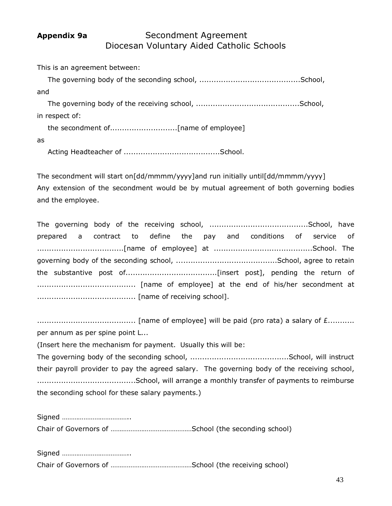# Appendix 9a **Secondment Agreement** Diocesan Voluntary Aided Catholic Schools

This is an agreement between: The governing body of the seconding school, ..........................................School, and The governing body of the receiving school, ...........................................School, in respect of: the secondment of............................[name of employee] as Acting Headteacher of ........................................School.

The secondment will start on[dd/mmmm/yyyy]and run initially until[dd/mmmm/yyyy] Any extension of the secondment would be by mutual agreement of both governing bodies and the employee.

|  |  |  |  |  |  |  |  |  |  |  |  | prepared a contract to define the pay and conditions of service of |  |
|--|--|--|--|--|--|--|--|--|--|--|--|--------------------------------------------------------------------|--|
|  |  |  |  |  |  |  |  |  |  |  |  |                                                                    |  |
|  |  |  |  |  |  |  |  |  |  |  |  |                                                                    |  |
|  |  |  |  |  |  |  |  |  |  |  |  |                                                                    |  |
|  |  |  |  |  |  |  |  |  |  |  |  |                                                                    |  |
|  |  |  |  |  |  |  |  |  |  |  |  |                                                                    |  |

......................................... [name of employee] will be paid (pro rata) a salary of £........... per annum as per spine point L...

(Insert here the mechanism for payment. Usually this will be:

The governing body of the seconding school, .........................................School, will instruct their payroll provider to pay the agreed salary. The governing body of the receiving school, .........................................School, will arrange a monthly transfer of payments to reimburse the seconding school for these salary payments.)

Signed ……………………………….. Chair of Governors of ………………………………………School (the seconding school)

Signed ……………………………….. Chair of Governors of ………………………………………School (the receiving school)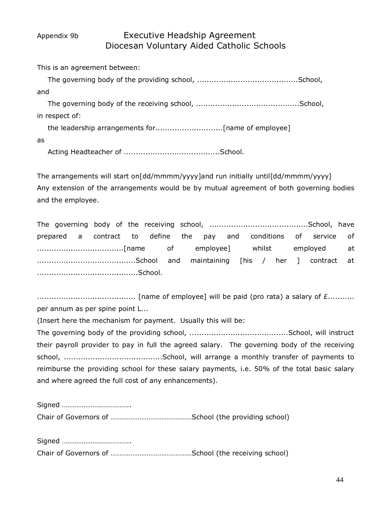# Appendix 9b Executive Headship Agreement Diocesan Voluntary Aided Catholic Schools

This is an agreement between: The governing body of the providing school, ..........................................School, and The governing body of the receiving school, ...........................................School, in respect of: the leadership arrangements for............................[name of employee] as

Acting Headteacher of ........................................School.

The arrangements will start on[dd/mmmm/yyyy]and run initially until[dd/mmmm/yyyy] Any extension of the arrangements would be by mutual agreement of both governing bodies and the employee.

|  |  |  |  |  |  |  | prepared a contract to define the pay and conditions of service of |  |
|--|--|--|--|--|--|--|--------------------------------------------------------------------|--|
|  |  |  |  |  |  |  |                                                                    |  |
|  |  |  |  |  |  |  |                                                                    |  |
|  |  |  |  |  |  |  |                                                                    |  |

......................................... [name of employee] will be paid (pro rata) a salary of £........... per annum as per spine point L...

(Insert here the mechanism for payment. Usually this will be:

The governing body of the providing school, .........................................School, will instruct their payroll provider to pay in full the agreed salary. The governing body of the receiving school, .........................................School, will arrange a monthly transfer of payments to reimburse the providing school for these salary payments, i.e. 50% of the total basic salary and where agreed the full cost of any enhancements).

Signed ……………………………….. Chair of Governors of ………………………………………School (the providing school)

Signed ……………………………….. Chair of Governors of ………………………………………School (the receiving school)